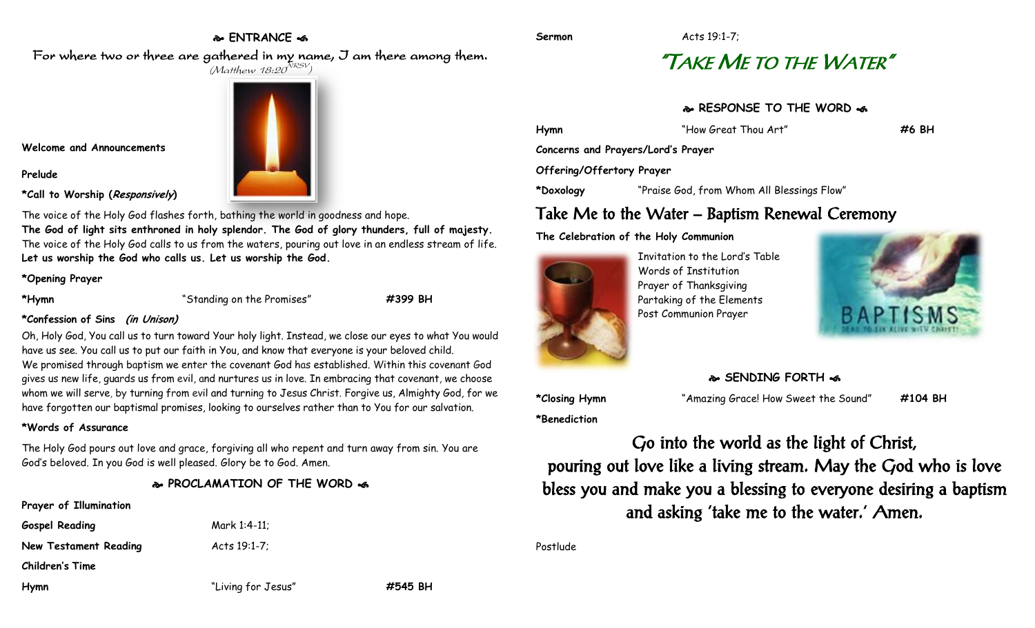#### **ENTRANCE**

**Sermon** Acts 19:1-7;

## "TAKE ME TO THE WATER"

#### **RESPONSE TO THE WORD**  $\approx$

**Hymn** "How Great Thou Art" **#6 BH**

**Concerns and Prayers/Lord's Prayer**

#### **Offering/Offertory Prayer**

**\*Doxology** "Praise God, from Whom All Blessings Flow"

### Take Me to the Water – Baptism Renewal Ceremony

**The Celebration of the Holy Communion**



Invitation to the Lord's Table Words of Institution Prayer of Thanksgiving Partaking of the Elements Post Communion Prayer



**SENDING FORTH** 

**\*Closing Hymn** "Amazing Grace! How Sweet the Sound" **#104 BH**

Go into the world as the light of Christ, pouring out love like a living stream. May the God who is love bless you and make you a blessing to everyone desiring a baptism and asking 'take me to the water.' Amen.

Postlude

For where two or three are gathered in my name, I am there among them.  $(M$ atthew 18:20 $^{NRSV})$ 



**Welcome and Announcements**

**Prelude**

**\*Call to Worship (Responsively)** 

The voice of the Holy God flashes forth, bathing the world in goodness and hope. **The God of light sits enthroned in holy splendor. The God of glory thunders, full of majesty.** The voice of the Holy God calls to us from the waters, pouring out love in an endless stream of life. **Let us worship the God who calls us. Let us worship the God.**

#### **\*Opening Prayer**

**\*Hymn** "Standing on the Promises" **#399 BH**

**\*Confession of Sins (in Unison)**

Oh, Holy God, You call us to turn toward Your holy light. Instead, we close our eyes to what You would have us see. You call us to put our faith in You, and know that everyone is your beloved child. We promised through baptism we enter the covenant God has established. Within this covenant God gives us new life, guards us from evil, and nurtures us in love. In embracing that covenant, we choose whom we will serve, by turning from evil and turning to Jesus Christ. Forgive us, Almighty God, for we have forgotten our baptismal promises, looking to ourselves rather than to You for our salvation.

#### **\*Words of Assurance**

The Holy God pours out love and grace, forgiving all who repent and turn away from sin. You are God's beloved. In you God is well pleased. Glory be to God. Amen.

#### **PROCLAMATION OF THE WORD**

#### **Prayer of Illumination**

**Gospel Reading** Mark 1:4-11;

**New Testament Reading Acts 19:1-7;** 

**Children's Time**

**Hymn** "Living for Jesus" **#545 BH**

**\*Benediction**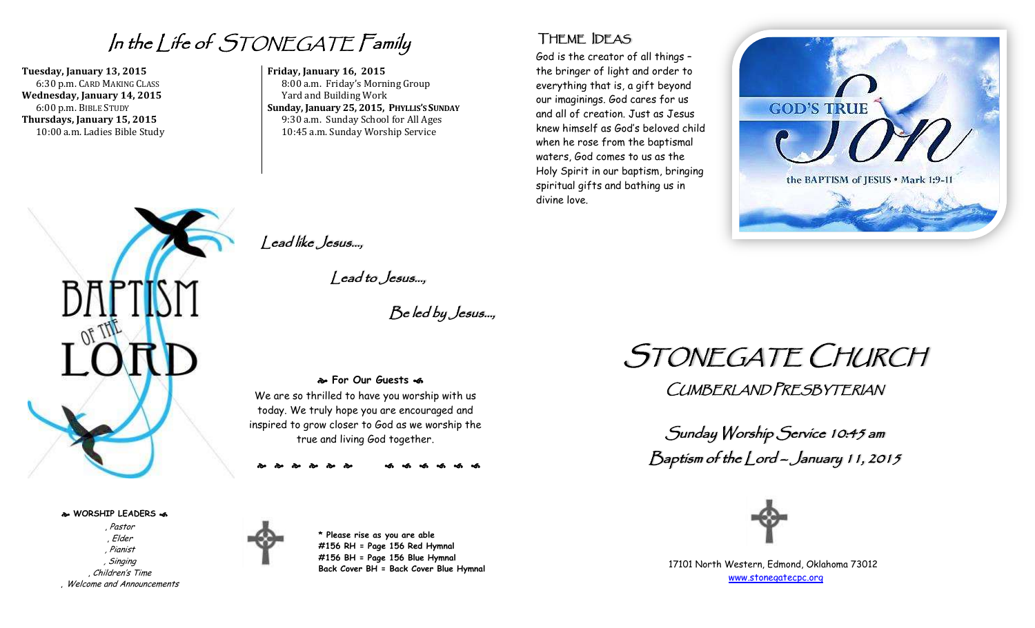In the Life of STONEGATE Family

**Tuesday, January 13, 2015** 6:30 p.m. CARD MAKING CLASS **Wednesday, January 14, 2015** 6:00 p.m. BIBLE STUDY **Thursdays, January 15, 2015** 10:00 a.m. Ladies Bible Study



**WORSHIP LEADERS** 

, Pastor , Elder , Pianist , Singing , Children's Time , Welcome and Announcements

**Friday, January 16, 2015**  8:00 a.m. Friday's Morning Group Yard and Building Work **Sunday, January 25, 2015, PHYLLIS'S SUNDAY** 9:30 a.m. Sunday School for All Ages 10:45 a.m. Sunday Worship Service

### THEME IDEAS

God is the creator of all things – the bringer of light and order to everything that is, a gift beyond our imaginings. God cares for us and all of creation. Just as Jesus knew himself as God's beloved child when he rose from the baptismal waters, God comes to us as the Holy Spirit in our baptism, bringing spiritual gifts and bathing us in divine love.



Lead like Jesus…,

Lead to Jesus…,

Be led by Jesus…,

 **For Our Guests**  We are so thrilled to have you worship with us today. We truly hope you are encouraged and inspired to grow closer to God as we worship the true and living God together.

**\* Please rise as you are able #156 RH = Page 156 Red Hymnal #156 BH = Page 156 Blue Hymnal Back Cover BH = Back Cover Blue Hymnal** STONEGATE CHURCH

CUMBERLAND PRESBYTERIAN

Sunday Worship Service 10:45 am Baptism of the Lord – January 11, 2015



17101 North Western, Edmond, Oklahoma 73012 [www.stonegatecpc.org](http://www.stonegatecpc.org/)